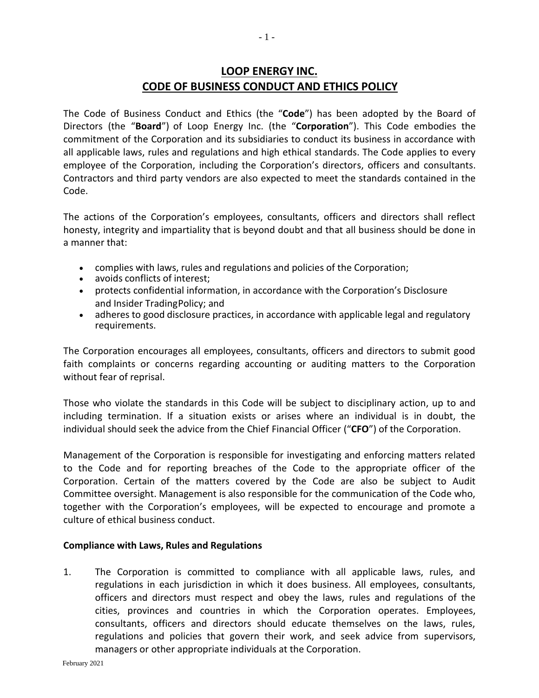# **LOOP ENERGY INC. CODE OF BUSINESS CONDUCT AND ETHICS POLICY**

The Code of Business Conduct and Ethics (the "**Code**") has been adopted by the Board of Directors (the "**Board**") of Loop Energy Inc. (the "**Corporation**"). This Code embodies the commitment of the Corporation and its subsidiaries to conduct its business in accordance with all applicable laws, rules and regulations and high ethical standards. The Code applies to every employee of the Corporation, including the Corporation's directors, officers and consultants. Contractors and third party vendors are also expected to meet the standards contained in the Code.

The actions of the Corporation's employees, consultants, officers and directors shall reflect honesty, integrity and impartiality that is beyond doubt and that all business should be done in a manner that:

- complies with laws, rules and regulations and policies of the Corporation;
- avoids conflicts of interest;
- protects confidential information, in accordance with the Corporation's Disclosure and Insider TradingPolicy; and
- adheres to good disclosure practices, in accordance with applicable legal and regulatory requirements.

The Corporation encourages all employees, consultants, officers and directors to submit good faith complaints or concerns regarding accounting or auditing matters to the Corporation without fear of reprisal.

Those who violate the standards in this Code will be subject to disciplinary action, up to and including termination. If a situation exists or arises where an individual is in doubt, the individual should seek the advice from the Chief Financial Officer ("**CFO**") of the Corporation.

Management of the Corporation is responsible for investigating and enforcing matters related to the Code and for reporting breaches of the Code to the appropriate officer of the Corporation. Certain of the matters covered by the Code are also be subject to Audit Committee oversight. Management is also responsible for the communication of the Code who, together with the Corporation's employees, will be expected to encourage and promote a culture of ethical business conduct.

#### **Compliance with Laws, Rules and Regulations**

1. The Corporation is committed to compliance with all applicable laws, rules, and regulations in each jurisdiction in which it does business. All employees, consultants, officers and directors must respect and obey the laws, rules and regulations of the cities, provinces and countries in which the Corporation operates. Employees, consultants, officers and directors should educate themselves on the laws, rules, regulations and policies that govern their work, and seek advice from supervisors, managers or other appropriate individuals at the Corporation.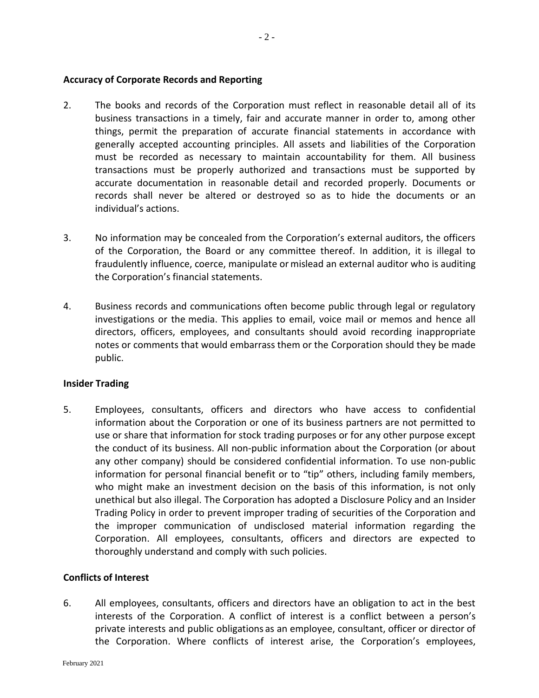## **Accuracy of Corporate Records and Reporting**

- 2. The books and records of the Corporation must reflect in reasonable detail all of its business transactions in a timely, fair and accurate manner in order to, among other things, permit the preparation of accurate financial statements in accordance with generally accepted accounting principles. All assets and liabilities of the Corporation must be recorded as necessary to maintain accountability for them. All business transactions must be properly authorized and transactions must be supported by accurate documentation in reasonable detail and recorded properly. Documents or records shall never be altered or destroyed so as to hide the documents or an individual's actions.
- 3. No information may be concealed from the Corporation's external auditors, the officers of the Corporation, the Board or any committee thereof. In addition, it is illegal to fraudulently influence, coerce, manipulate or mislead an external auditor who is auditing the Corporation's financial statements.
- 4. Business records and communications often become public through legal or regulatory investigations or the media. This applies to email, voice mail or memos and hence all directors, officers, employees, and consultants should avoid recording inappropriate notes or comments that would embarrass them or the Corporation should they be made public.

## **Insider Trading**

5. Employees, consultants, officers and directors who have access to confidential information about the Corporation or one of its business partners are not permitted to use or share that information for stock trading purposes or for any other purpose except the conduct of its business. All non-public information about the Corporation (or about any other company) should be considered confidential information. To use non-public information for personal financial benefit or to "tip" others, including family members, who might make an investment decision on the basis of this information, is not only unethical but also illegal. The Corporation has adopted a Disclosure Policy and an Insider Trading Policy in order to prevent improper trading of securities of the Corporation and the improper communication of undisclosed material information regarding the Corporation. All employees, consultants, officers and directors are expected to thoroughly understand and comply with such policies.

#### **Conflicts of Interest**

6. All employees, consultants, officers and directors have an obligation to act in the best interests of the Corporation. A conflict of interest is a conflict between a person's private interests and public obligations as an employee, consultant, officer or director of the Corporation. Where conflicts of interest arise, the Corporation's employees,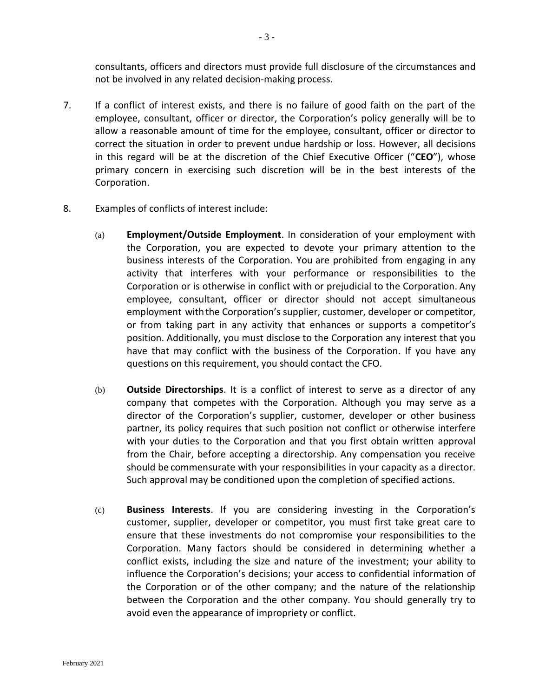consultants, officers and directors must provide full disclosure of the circumstances and not be involved in any related decision-making process.

- 7. If a conflict of interest exists, and there is no failure of good faith on the part of the employee, consultant, officer or director, the Corporation's policy generally will be to allow a reasonable amount of time for the employee, consultant, officer or director to correct the situation in order to prevent undue hardship or loss. However, all decisions in this regard will be at the discretion of the Chief Executive Officer ("**CEO**"), whose primary concern in exercising such discretion will be in the best interests of the Corporation.
- 8. Examples of conflicts of interest include:
	- (a) **Employment/Outside Employment**. In consideration of your employment with the Corporation, you are expected to devote your primary attention to the business interests of the Corporation. You are prohibited from engaging in any activity that interferes with your performance or responsibilities to the Corporation or is otherwise in conflict with or prejudicial to the Corporation. Any employee, consultant, officer or director should not accept simultaneous employment withthe Corporation's supplier, customer, developer or competitor, or from taking part in any activity that enhances or supports a competitor's position. Additionally, you must disclose to the Corporation any interest that you have that may conflict with the business of the Corporation. If you have any questions on this requirement, you should contact the CFO.
	- (b) **Outside Directorships**. It is a conflict of interest to serve as a director of any company that competes with the Corporation. Although you may serve as a director of the Corporation's supplier, customer, developer or other business partner, its policy requires that such position not conflict or otherwise interfere with your duties to the Corporation and that you first obtain written approval from the Chair, before accepting a directorship. Any compensation you receive should be commensurate with your responsibilities in your capacity as a director. Such approval may be conditioned upon the completion of specified actions.
	- (c) **Business Interests**. If you are considering investing in the Corporation's customer, supplier, developer or competitor, you must first take great care to ensure that these investments do not compromise your responsibilities to the Corporation. Many factors should be considered in determining whether a conflict exists, including the size and nature of the investment; your ability to influence the Corporation's decisions; your access to confidential information of the Corporation or of the other company; and the nature of the relationship between the Corporation and the other company. You should generally try to avoid even the appearance of impropriety or conflict.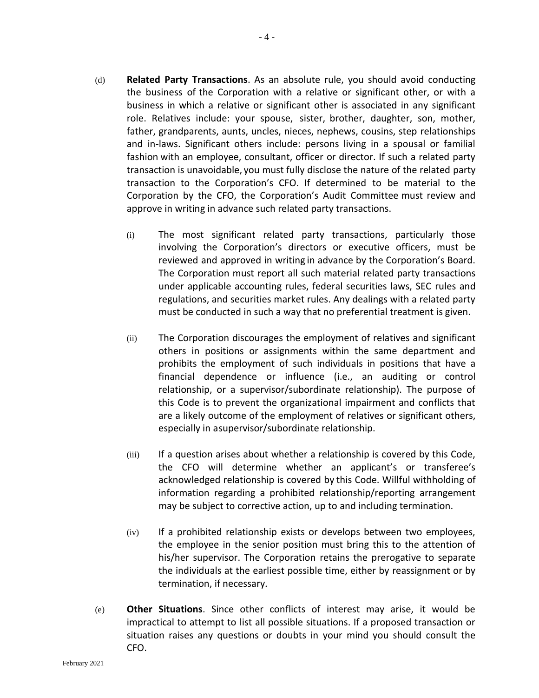- (d) **Related Party Transactions**. As an absolute rule, you should avoid conducting the business of the Corporation with a relative or significant other, or with a business in which a relative or significant other is associated in any significant role. Relatives include: your spouse, sister, brother, daughter, son, mother, father, grandparents, aunts, uncles, nieces, nephews, cousins, step relationships and in-laws. Significant others include: persons living in a spousal or familial fashion with an employee, consultant, officer or director. If such a related party transaction is unavoidable, you must fully disclose the nature of the related party transaction to the Corporation's CFO. If determined to be material to the Corporation by the CFO, the Corporation's Audit Committee must review and approve in writing in advance such related party transactions.
	- (i) The most significant related party transactions, particularly those involving the Corporation's directors or executive officers, must be reviewed and approved in writing in advance by the Corporation's Board. The Corporation must report all such material related party transactions under applicable accounting rules, federal securities laws, SEC rules and regulations, and securities market rules. Any dealings with a related party must be conducted in such a way that no preferential treatment is given.
	- (ii) The Corporation discourages the employment of relatives and significant others in positions or assignments within the same department and prohibits the employment of such individuals in positions that have a financial dependence or influence (i.e., an auditing or control relationship, or a supervisor/subordinate relationship). The purpose of this Code is to prevent the organizational impairment and conflicts that are a likely outcome of the employment of relatives or significant others, especially in asupervisor/subordinate relationship.
	- (iii) If a question arises about whether a relationship is covered by this Code, the CFO will determine whether an applicant's or transferee's acknowledged relationship is covered by this Code. Willful withholding of information regarding a prohibited relationship/reporting arrangement may be subject to corrective action, up to and including termination.
	- (iv) If a prohibited relationship exists or develops between two employees, the employee in the senior position must bring this to the attention of his/her supervisor. The Corporation retains the prerogative to separate the individuals at the earliest possible time, either by reassignment or by termination, if necessary.
- (e) **Other Situations**. Since other conflicts of interest may arise, it would be impractical to attempt to list all possible situations. If a proposed transaction or situation raises any questions or doubts in your mind you should consult the CFO.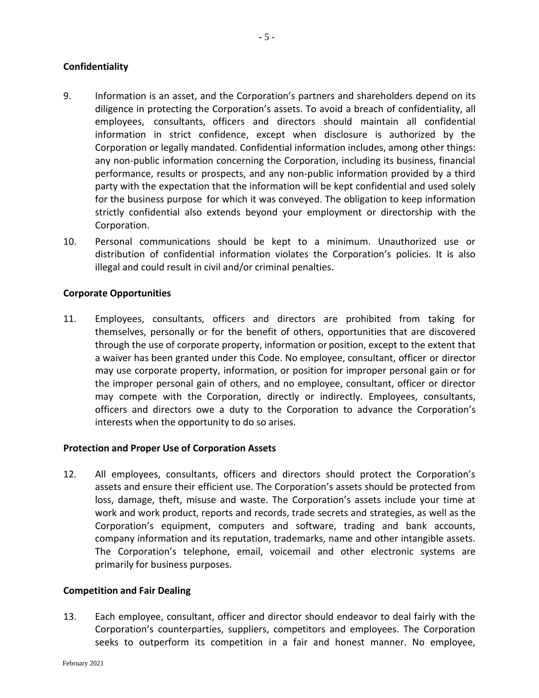## **Confidentiality**

- 9. Information is an asset, and the Corporation's partners and shareholders depend on its diligence in protecting the Corporation's assets. To avoid a breach of confidentiality, all employees, consultants, officers and directors should maintain all confidential information in strict confidence, except when disclosure is authorized by the Corporation or legally mandated. Confidential information includes, among other things: any non-public information concerning the Corporation, including its business, financial performance, results or prospects, and any non-public information provided by a third party with the expectation that the information will be kept confidential and used solely for the business purpose for which it was conveyed. The obligation to keep information strictly confidential also extends beyond your employment or directorship with the Corporation.
- 10. Personal communications should be kept to a minimum. Unauthorized use or distribution of confidential information violates the Corporation's policies. It is also illegal and could result in civil and/or criminal penalties.

## **Corporate Opportunities**

11. Employees, consultants, officers and directors are prohibited from taking for themselves, personally or for the benefit of others, opportunities that are discovered through the use of corporate property, information or position, except to the extent that a waiver has been granted under this Code. No employee, consultant, officer or director may use corporate property, information, or position for improper personal gain or for the improper personal gain of others, and no employee, consultant, officer or director may compete with the Corporation, directly or indirectly. Employees, consultants, officers and directors owe a duty to the Corporation to advance the Corporation's interests when the opportunity to do so arises.

#### **Protection and Proper Use of Corporation Assets**

12. All employees, consultants, officers and directors should protect the Corporation's assets and ensure their efficient use. The Corporation's assets should be protected from loss, damage, theft, misuse and waste. The Corporation's assets include your time at work and work product, reports and records, trade secrets and strategies, as well as the Corporation's equipment, computers and software, trading and bank accounts, company information and its reputation, trademarks, name and other intangible assets. The Corporation's telephone, email, voicemail and other electronic systems are primarily for business purposes.

#### **Competition and Fair Dealing**

13. Each employee, consultant, officer and director should endeavor to deal fairly with the Corporation's counterparties, suppliers, competitors and employees. The Corporation seeks to outperform its competition in a fair and honest manner. No employee,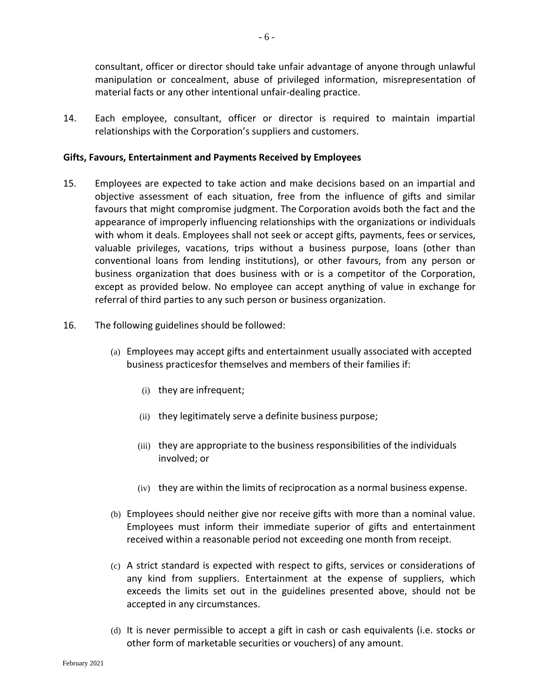consultant, officer or director should take unfair advantage of anyone through unlawful manipulation or concealment, abuse of privileged information, misrepresentation of material facts or any other intentional unfair-dealing practice.

14. Each employee, consultant, officer or director is required to maintain impartial relationships with the Corporation's suppliers and customers.

## **Gifts, Favours, Entertainment and Payments Received by Employees**

- 15. Employees are expected to take action and make decisions based on an impartial and objective assessment of each situation, free from the influence of gifts and similar favours that might compromise judgment. The Corporation avoids both the fact and the appearance of improperly influencing relationships with the organizations or individuals with whom it deals. Employees shall not seek or accept gifts, payments, fees or services, valuable privileges, vacations, trips without a business purpose, loans (other than conventional loans from lending institutions), or other favours, from any person or business organization that does business with or is a competitor of the Corporation, except as provided below. No employee can accept anything of value in exchange for referral of third parties to any such person or business organization.
- 16. The following guidelines should be followed:
	- (a) Employees may accept gifts and entertainment usually associated with accepted business practicesfor themselves and members of their families if:
		- (i) they are infrequent;
		- (ii) they legitimately serve a definite business purpose;
		- (iii) they are appropriate to the business responsibilities of the individuals involved; or
		- (iv) they are within the limits of reciprocation as a normal business expense.
	- (b) Employees should neither give nor receive gifts with more than a nominal value. Employees must inform their immediate superior of gifts and entertainment received within a reasonable period not exceeding one month from receipt.
	- (c) A strict standard is expected with respect to gifts, services or considerations of any kind from suppliers. Entertainment at the expense of suppliers, which exceeds the limits set out in the guidelines presented above, should not be accepted in any circumstances.
	- (d) It is never permissible to accept a gift in cash or cash equivalents (i.e. stocks or other form of marketable securities or vouchers) of any amount.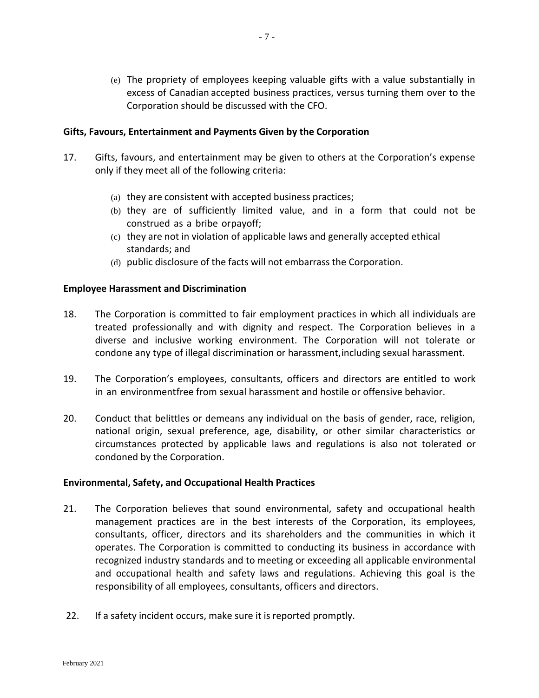(e) The propriety of employees keeping valuable gifts with a value substantially in excess of Canadian accepted business practices, versus turning them over to the Corporation should be discussed with the CFO.

## **Gifts, Favours, Entertainment and Payments Given by the Corporation**

- 17. Gifts, favours, and entertainment may be given to others at the Corporation's expense only if they meet all of the following criteria:
	- (a) they are consistent with accepted business practices;
	- (b) they are of sufficiently limited value, and in a form that could not be construed as a bribe orpayoff;
	- (c) they are not in violation of applicable laws and generally accepted ethical standards; and
	- (d) public disclosure of the facts will not embarrass the Corporation.

#### **Employee Harassment and Discrimination**

- 18. The Corporation is committed to fair employment practices in which all individuals are treated professionally and with dignity and respect. The Corporation believes in a diverse and inclusive working environment. The Corporation will not tolerate or condone any type of illegal discrimination or harassment,including sexual harassment.
- 19. The Corporation's employees, consultants, officers and directors are entitled to work in an environmentfree from sexual harassment and hostile or offensive behavior.
- 20. Conduct that belittles or demeans any individual on the basis of gender, race, religion, national origin, sexual preference, age, disability, or other similar characteristics or circumstances protected by applicable laws and regulations is also not tolerated or condoned by the Corporation.

#### **Environmental, Safety, and Occupational Health Practices**

- 21. The Corporation believes that sound environmental, safety and occupational health management practices are in the best interests of the Corporation, its employees, consultants, officer, directors and its shareholders and the communities in which it operates. The Corporation is committed to conducting its business in accordance with recognized industry standards and to meeting or exceeding all applicable environmental and occupational health and safety laws and regulations. Achieving this goal is the responsibility of all employees, consultants, officers and directors.
- 22. If a safety incident occurs, make sure it is reported promptly.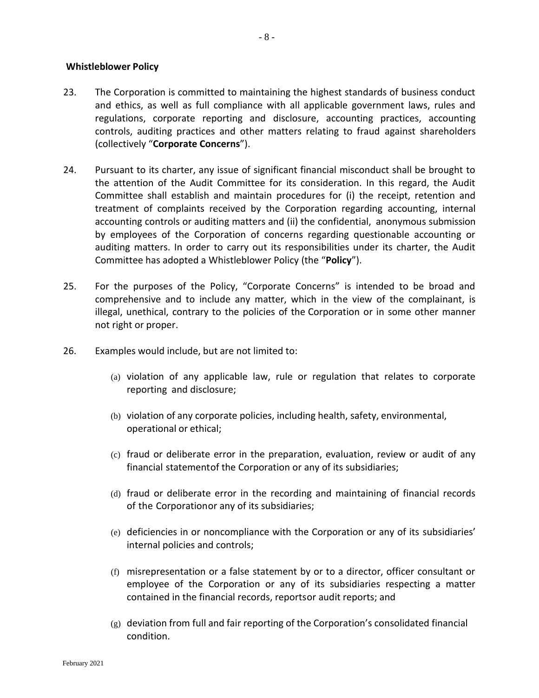#### **Whistleblower Policy**

- 23. The Corporation is committed to maintaining the highest standards of business conduct and ethics, as well as full compliance with all applicable government laws, rules and regulations, corporate reporting and disclosure, accounting practices, accounting controls, auditing practices and other matters relating to fraud against shareholders (collectively "**Corporate Concerns**").
- 24. Pursuant to its charter, any issue of significant financial misconduct shall be brought to the attention of the Audit Committee for its consideration. In this regard, the Audit Committee shall establish and maintain procedures for (i) the receipt, retention and treatment of complaints received by the Corporation regarding accounting, internal accounting controls or auditing matters and (ii) the confidential, anonymous submission by employees of the Corporation of concerns regarding questionable accounting or auditing matters. In order to carry out its responsibilities under its charter, the Audit Committee has adopted a Whistleblower Policy (the "**Policy**").
- 25. For the purposes of the Policy, "Corporate Concerns" is intended to be broad and comprehensive and to include any matter, which in the view of the complainant, is illegal, unethical, contrary to the policies of the Corporation or in some other manner not right or proper.
- 26. Examples would include, but are not limited to:
	- (a) violation of any applicable law, rule or regulation that relates to corporate reporting and disclosure;
	- (b) violation of any corporate policies, including health, safety, environmental, operational or ethical;
	- (c) fraud or deliberate error in the preparation, evaluation, review or audit of any financial statementof the Corporation or any of its subsidiaries;
	- (d) fraud or deliberate error in the recording and maintaining of financial records of the Corporationor any of its subsidiaries;
	- (e) deficiencies in or noncompliance with the Corporation or any of its subsidiaries' internal policies and controls;
	- (f) misrepresentation or a false statement by or to a director, officer consultant or employee of the Corporation or any of its subsidiaries respecting a matter contained in the financial records, reportsor audit reports; and
	- (g) deviation from full and fair reporting of the Corporation's consolidated financial condition.